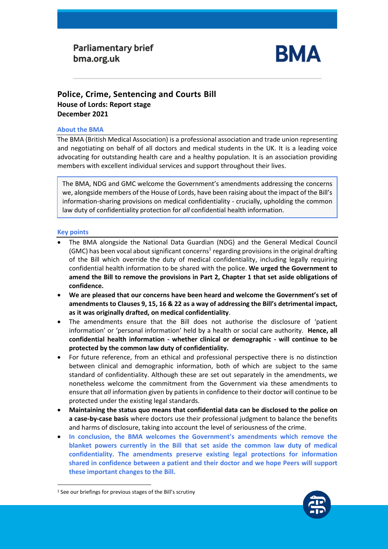# **Parliamentary brief** bma.org.uk



## **Police, Crime, Sentencing and Courts Bill House of Lords: Report stage December 2021**

### **About the BMA**

The BMA (British Medical Association) is a professional association and trade union representing and negotiating on behalf of all doctors and medical students in the UK. It is a leading voice advocating for outstanding health care and a healthy population. It is an association providing members with excellent individual services and support throughout their lives.

The BMA, NDG and GMC welcome the Government's amendments addressing the concerns we, alongside members of the House of Lords, have been raising about the impact of the Bill's information-sharing provisions on medical confidentiality - crucially, upholding the common law duty of confidentiality protection for *all* confidential health information.

## **Key points**

- The BMA alongside the National Data Guardian (NDG) and the General Medical Council (GMC) has been vocal about significant concerns<sup>1</sup> regarding provisions in the original drafting of the Bill which override the duty of medical confidentiality, including legally requiring confidential health information to be shared with the police. **We urged the Government to amend the Bill to remove the provisions in Part 2, Chapter 1 that set aside obligations of confidence.**
- **We are pleased that our concerns have been heard and welcome the Government's set of amendments to Clauses 9, 15, 16 & 22 as a way of addressing the Bill's detrimental impact, as it was originally drafted, on medical confidentiality**.
- The amendments ensure that the Bill does not authorise the disclosure of 'patient information' or 'personal information' held by a health or social care authority. **Hence, all confidential health information - whether clinical or demographic - will continue to be protected by the common law duty of confidentiality.**
- For future reference, from an ethical and professional perspective there is no distinction between clinical and demographic information, both of which are subject to the same standard of confidentiality. Although these are set out separately in the amendments, we nonetheless welcome the commitment from the Government via these amendments to ensure that *all* information given by patients in confidence to their doctor will continue to be protected under the existing legal standards.
- **Maintaining the status quo means that confidential data can be disclosed to the police on a case-by-case basis** where doctors use their professional judgment to balance the benefits and harms of disclosure, taking into account the level of seriousness of the crime.
- **In conclusion, the BMA welcomes the Government's amendments which remove the blanket powers currently in the Bill that set aside the common law duty of medical confidentiality. The amendments preserve existing legal protections for information shared in confidence between a patient and their doctor and we hope Peers will support these important changes to the Bill.**



<sup>&</sup>lt;sup>1</sup> See our briefings for previous stages of the Bill's scrutiny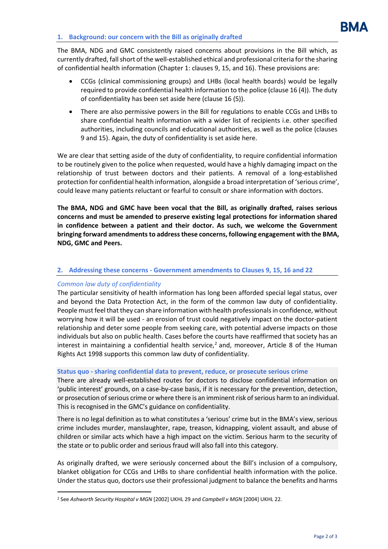The BMA, NDG and GMC consistently raised concerns about provisions in the Bill which, as currently drafted, fall short of the well-established ethical and professional criteria forthe sharing of confidential health information (Chapter 1: clauses 9, 15, and 16). These provisions are:

- CCGs (clinical commissioning groups) and LHBs (local health boards) would be legally required to provide confidential health information to the police (clause 16 (4)). The duty of confidentiality has been set aside here (clause 16 (5)).
- There are also permissive powers in the Bill for regulations to enable CCGs and LHBs to share confidential health information with a wider list of recipients i.e. other specified authorities, including councils and educational authorities, as well as the police (clauses 9 and 15). Again, the duty of confidentiality is set aside here.

We are clear that setting aside of the duty of confidentiality, to require confidential information to be routinely given to the police when requested, would have a highly damaging impact on the relationship of trust between doctors and their patients. A removal of a long-established protection for confidential health information, alongside a broad interpretation of 'serious crime', could leave many patients reluctant or fearful to consult or share information with doctors.

**The BMA, NDG and GMC have been vocal that the Bill, as originally drafted, raises serious concerns and must be amended to preserve existing legal protections for information shared in confidence between a patient and their doctor. As such, we welcome the Government bringing forward amendments to address these concerns, following engagement with the BMA, NDG, GMC and Peers.**

## **2. Addressing these concerns - Government amendments to Clauses 9, 15, 16 and 22**

## *Common law duty of confidentiality*

The particular sensitivity of health information has long been afforded special legal status, over and beyond the Data Protection Act, in the form of the common law duty of confidentiality. People must feel that they can share information with health professionals in confidence, without worrying how it will be used - an erosion of trust could negatively impact on the doctor-patient relationship and deter some people from seeking care, with potential adverse impacts on those individuals but also on public health. Cases before the courts have reaffirmed that society has an interest in maintaining a confidential health service,<sup>2</sup> and, moreover, Article 8 of the Human Rights Act 1998 supports this common law duty of confidentiality.

## **Status quo - sharing confidential data to prevent, reduce, or prosecute serious crime**

There are already well-established routes for doctors to disclose confidential information on 'public interest' grounds, on a case-by-case basis, if it is necessary for the prevention, detection, or prosecution of serious crime or where there is an imminent risk of serious harm to an individual. This is recognised in the GMC's guidance on confidentiality.

There is no legal definition as to what constitutes a 'serious' crime but in the BMA's view, serious crime includes murder, manslaughter, rape, treason, kidnapping, violent assault, and abuse of children or similar acts which have a high impact on the victim. Serious harm to the security of the state or to public order and serious fraud will also fall into this category.

As originally drafted, we were seriously concerned about the Bill's inclusion of a compulsory, blanket obligation for CCGs and LHBs to share confidential health information with the police. Under the status quo, doctors use their professional judgment to balance the benefits and harms

<sup>2</sup> See *Ashworth Security Hospital v MGN* [2002] UKHL 29 and *Campbell v MGN* [2004] UKHL 22.